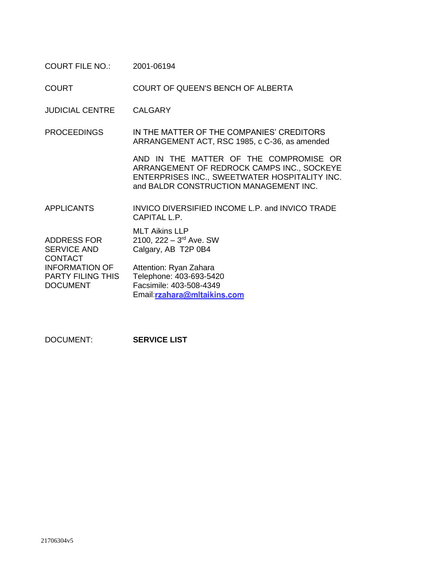COURT FILE NO.: 2001-06194

COURT COURT OF QUEEN'S BENCH OF ALBERTA

JUDICIAL CENTRE CALGARY

PROCEEDINGS IN THE MATTER OF THE COMPANIES' CREDITORS ARRANGEMENT ACT, RSC 1985, c C-36, as amended

> AND IN THE MATTER OF THE COMPROMISE OR ARRANGEMENT OF REDROCK CAMPS INC., SOCKEYE ENTERPRISES INC., SWEETWATER HOSPITALITY INC. and BALDR CONSTRUCTION MANAGEMENT INC.

APPLICANTS INVICO DIVERSIFIED INCOME L.P. and INVICO TRADE CAPITAL L.P.

|                          | <b>MLT Aikins LLP</b>                 |
|--------------------------|---------------------------------------|
| <b>ADDRESS FOR</b>       | 2100, $222 - 3$ <sup>rd</sup> Ave. SW |
| <b>SERVICE AND</b>       | Calgary, AB T2P 0B4                   |
| <b>CONTACT</b>           |                                       |
| <b>INFORMATION OF</b>    | Attention: Ryan Zahara                |
| <b>PARTY FILING THIS</b> | Telephone: 403-693-5420               |
| <b>DOCUMENT</b>          | Facsimile: 403-508-4349               |
|                          | Email:rzahara@mltaikins.com           |

DOCUMENT: **SERVICE LIST**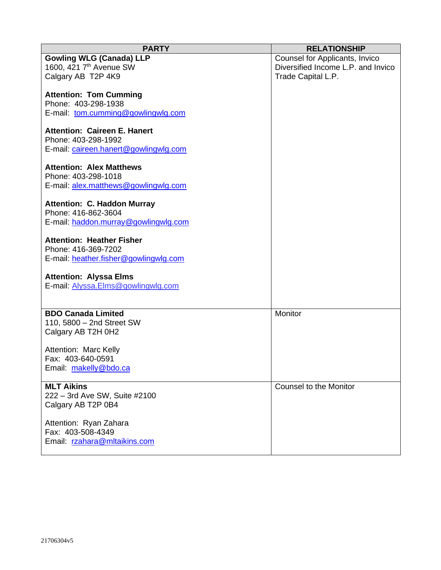| <b>PARTY</b>                               | <b>RELATIONSHIP</b>                |
|--------------------------------------------|------------------------------------|
| <b>Gowling WLG (Canada) LLP</b>            | Counsel for Applicants, Invico     |
| 1600, 421 7 <sup>th</sup> Avenue SW        | Diversified Income L.P. and Invico |
| Calgary AB T2P 4K9                         | Trade Capital L.P.                 |
|                                            |                                    |
| <b>Attention: Tom Cumming</b>              |                                    |
| Phone: 403-298-1938                        |                                    |
| E-mail: tom.cumming@gowlingwlg.com         |                                    |
|                                            |                                    |
| <b>Attention: Caireen E. Hanert</b>        |                                    |
| Phone: 403-298-1992                        |                                    |
| E-mail: caireen.hanert@gowlingwlg.com      |                                    |
|                                            |                                    |
| <b>Attention: Alex Matthews</b>            |                                    |
| Phone: 403-298-1018                        |                                    |
| E-mail: alex.matthews@gowlingwlg.com       |                                    |
| <b>Attention: C. Haddon Murray</b>         |                                    |
| Phone: 416-862-3604                        |                                    |
| E-mail: haddon.murray@gowlingwlg.com       |                                    |
|                                            |                                    |
| <b>Attention: Heather Fisher</b>           |                                    |
| Phone: 416-369-7202                        |                                    |
| E-mail: heather.fisher@gowlingwlg.com      |                                    |
|                                            |                                    |
| <b>Attention: Alyssa Elms</b>              |                                    |
| E-mail: Alyssa.Elms@gowlingwlg.com         |                                    |
|                                            |                                    |
|                                            |                                    |
| <b>BDO Canada Limited</b>                  | Monitor                            |
| 110, 5800 - 2nd Street SW                  |                                    |
| Calgary AB T2H 0H2                         |                                    |
|                                            |                                    |
| Attention: Marc Kelly<br>Fax: 403-640-0591 |                                    |
|                                            |                                    |
| Email: makelly@bdo.ca                      |                                    |
| <b>MLT Aikins</b>                          | Counsel to the Monitor             |
| 222 - 3rd Ave SW, Suite #2100              |                                    |
| Calgary AB T2P 0B4                         |                                    |
|                                            |                                    |
| Attention: Ryan Zahara                     |                                    |
| Fax: 403-508-4349                          |                                    |
| Email: rzahara@mltaikins.com               |                                    |
|                                            |                                    |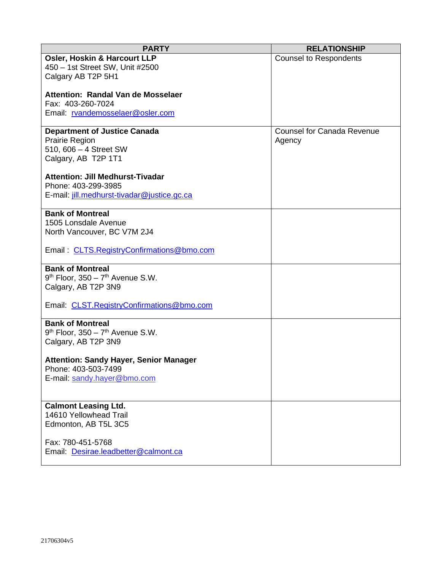| <b>PARTY</b>                                  | <b>RELATIONSHIP</b>               |
|-----------------------------------------------|-----------------------------------|
| <b>Osler, Hoskin &amp; Harcourt LLP</b>       | <b>Counsel to Respondents</b>     |
| 450 - 1st Street SW, Unit #2500               |                                   |
| Calgary AB T2P 5H1                            |                                   |
|                                               |                                   |
| Attention: Randal Van de Mosselaer            |                                   |
| Fax: 403-260-7024                             |                                   |
| Email: rvandemosselaer@osler.com              |                                   |
|                                               |                                   |
| <b>Department of Justice Canada</b>           | <b>Counsel for Canada Revenue</b> |
| <b>Prairie Region</b>                         | Agency                            |
| 510, 606 - 4 Street SW                        |                                   |
| Calgary, AB T2P 1T1                           |                                   |
|                                               |                                   |
| <b>Attention: Jill Medhurst-Tivadar</b>       |                                   |
| Phone: 403-299-3985                           |                                   |
| E-mail: jill.medhurst-tivadar@justice.gc.ca   |                                   |
|                                               |                                   |
| <b>Bank of Montreal</b>                       |                                   |
| 1505 Lonsdale Avenue                          |                                   |
| North Vancouver, BC V7M 2J4                   |                                   |
|                                               |                                   |
| Email: CLTS. Registry Confirmations @bmo.com  |                                   |
|                                               |                                   |
| <b>Bank of Montreal</b>                       |                                   |
| $9th$ Floor, 350 - $7th$ Avenue S.W.          |                                   |
| Calgary, AB T2P 3N9                           |                                   |
|                                               |                                   |
| Email: CLST.RegistryConfirmations@bmo.com     |                                   |
|                                               |                                   |
| <b>Bank of Montreal</b>                       |                                   |
| $9th$ Floor, 350 - $7th$ Avenue S.W.          |                                   |
| Calgary, AB T2P 3N9                           |                                   |
|                                               |                                   |
| <b>Attention: Sandy Hayer, Senior Manager</b> |                                   |
| Phone: 403-503-7499                           |                                   |
| E-mail: sandy.hayer@bmo.com                   |                                   |
|                                               |                                   |
| <b>Calmont Leasing Ltd.</b>                   |                                   |
| 14610 Yellowhead Trail                        |                                   |
|                                               |                                   |
| Edmonton, AB T5L 3C5                          |                                   |
| Fax: 780-451-5768                             |                                   |
| Email: Desirae.leadbetter@calmont.ca          |                                   |
|                                               |                                   |